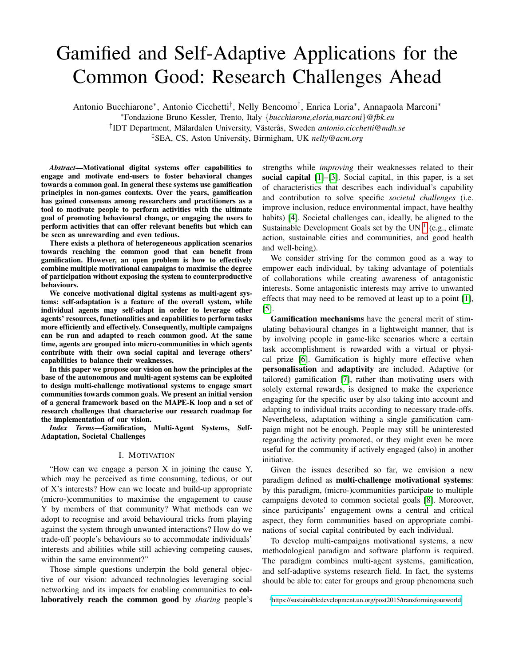# Gamified and Self-Adaptive Applications for the Common Good: Research Challenges Ahead

Antonio Bucchiarone\*, Antonio Cicchetti<sup>†</sup>, Nelly Bencomo<sup>‡</sup>, Enrica Loria\*, Annapaola Marconi\*

<sup>∗</sup>Fondazione Bruno Kessler, Trento, Italy {*bucchiarone,eloria,marconi*}*@fbk.eu*

<sup>†</sup>IDT Department, Mälardalen University, Västerås, Sweden antonio.cicchetti@mdh.se

‡SEA, CS, Aston University, Birmigham, UK *nelly@acm.org*

*Abstract*—Motivational digital systems offer capabilities to engage and motivate end-users to foster behavioral changes towards a common goal. In general these systems use gamification principles in non-games contexts. Over the years, gamification has gained consensus among researchers and practitioners as a tool to motivate people to perform activities with the ultimate goal of promoting behavioural change, or engaging the users to perform activities that can offer relevant benefits but which can be seen as unrewarding and even tedious.

There exists a plethora of heterogeneous application scenarios towards reaching the common good that can benefit from gamification. However, an open problem is how to effectively combine multiple motivational campaigns to maximise the degree of participation without exposing the system to counterproductive behaviours.

We conceive motivational digital systems as multi-agent systems: self-adaptation is a feature of the overall system, while individual agents may self-adapt in order to leverage other agents' resources, functionalities and capabilities to perform tasks more efficiently and effectively. Consequently, multiple campaigns can be run and adapted to reach common good. At the same time, agents are grouped into micro-communities in which agents contribute with their own social capital and leverage others' capabilities to balance their weaknesses.

In this paper we propose our vision on how the principles at the base of the autonomous and multi-agent systems can be exploited to design multi-challenge motivational systems to engage smart communities towards common goals. We present an initial version of a general framework based on the MAPE-K loop and a set of research challenges that characterise our research roadmap for the implementation of our vision.

*Index Terms*—Gamification, Multi-Agent Systems, Self-Adaptation, Societal Challenges

## I. MOTIVATION

"How can we engage a person X in joining the cause Y, which may be perceived as time consuming, tedious, or out of X's interests? How can we locate and build-up appropriate (micro-)communities to maximise the engagement to cause Y by members of that community? What methods can we adopt to recognise and avoid behavioural tricks from playing against the system through unwanted interactions? How do we trade-off people's behaviours so to accommodate individuals' interests and abilities while still achieving competing causes, within the same environment?"

Those simple questions underpin the bold general objective of our vision: advanced technologies leveraging social networking and its impacts for enabling communities to collaboratively reach the common good by *sharing* people's strengths while *improving* their weaknesses related to their social capital [\[1\]](#page-5-0)–[\[3\]](#page-5-1). Social capital, in this paper, is a set of characteristics that describes each individual's capability and contribution to solve specific *societal challenges* (i.e. improve inclusion, reduce environmental impact, have healthy habits) [\[4\]](#page-5-2). Societal challenges can, ideally, be aligned to the Sustainable Development Goals set by the UN  $<sup>1</sup>$  $<sup>1</sup>$  $<sup>1</sup>$  (e.g., climate</sup> action, sustainable cities and communities, and good health and well-being).

We consider striving for the common good as a way to empower each individual, by taking advantage of potentials of collaborations while creating awareness of antagonistic interests. Some antagonistic interests may arrive to unwanted effects that may need to be removed at least up to a point [\[1\]](#page-5-0), [\[5\]](#page-5-3).

Gamification mechanisms have the general merit of stimulating behavioural changes in a lightweight manner, that is by involving people in game-like scenarios where a certain task accomplishment is rewarded with a virtual or physical prize [\[6\]](#page-5-4). Gamification is highly more effective when personalisation and adaptivity are included. Adaptive (or tailored) gamification [\[7\]](#page-5-5), rather than motivating users with solely external rewards, is designed to make the experience engaging for the specific user by also taking into account and adapting to individual traits according to necessary trade-offs. Nevertheless, adaptation withing a single gamification campaign might not be enough. People may still be uninterested regarding the activity promoted, or they might even be more useful for the community if actively engaged (also) in another initiative.

Given the issues described so far, we envision a new paradigm defined as multi-challenge motivational systems: by this paradigm, (micro-)communities participate to multiple campaigns devoted to common societal goals [\[8\]](#page-5-6). Moreover, since participants' engagement owns a central and critical aspect, they form communities based on appropriate combinations of social capital contributed by each individual.

To develop multi-campaigns motivational systems, a new methodological paradigm and software platform is required. The paradigm combines multi-agent systems, gamification, and self-adaptive systems research field. In fact, the systems should be able to: cater for groups and group phenomena such

<span id="page-0-0"></span><sup>1</sup><https://sustainabledevelopment.un.org/post2015/transformingourworld>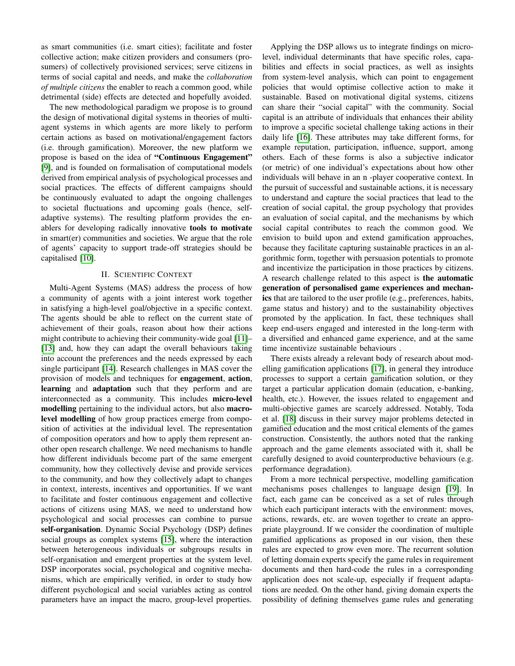as smart communities (i.e. smart cities); facilitate and foster collective action; make citizen providers and consumers (prosumers) of collectively provisioned services; serve citizens in terms of social capital and needs, and make the *collaboration of multiple citizens* the enabler to reach a common good, while detrimental (side) effects are detected and hopefully avoided.

The new methodological paradigm we propose is to ground the design of motivational digital systems in theories of multiagent systems in which agents are more likely to perform certain actions as based on motivational/engagement factors (i.e. through gamification). Moreover, the new platform we propose is based on the idea of "Continuous Engagement" [\[9\]](#page-5-7), and is founded on formalisation of computational models derived from empirical analysis of psychological processes and social practices. The effects of different campaigns should be continuously evaluated to adapt the ongoing challenges to societal fluctuations and upcoming goals (hence, selfadaptive systems). The resulting platform provides the enablers for developing radically innovative tools to motivate in smart(er) communities and societies. We argue that the role of agents' capacity to support trade-off strategies should be capitalised [\[10\]](#page-5-8).

#### II. SCIENTIFIC CONTEXT

Multi-Agent Systems (MAS) address the process of how a community of agents with a joint interest work together in satisfying a high-level goal/objective in a specific context. The agents should be able to reflect on the current state of achievement of their goals, reason about how their actions might contribute to achieving their community-wide goal [\[11\]](#page-5-9)– [\[13\]](#page-6-0) and, how they can adapt the overall behaviours taking into account the preferences and the needs expressed by each single participant [\[14\]](#page-6-1). Research challenges in MAS cover the provision of models and techniques for engagement, action, learning and adaptation such that they perform and are interconnected as a community. This includes micro-level modelling pertaining to the individual actors, but also macrolevel modelling of how group practices emerge from composition of activities at the individual level. The representation of composition operators and how to apply them represent another open research challenge. We need mechanisms to handle how different individuals become part of the same emergent community, how they collectively devise and provide services to the community, and how they collectively adapt to changes in context, interests, incentives and opportunities. If we want to facilitate and foster continuous engagement and collective actions of citizens using MAS, we need to understand how psychological and social processes can combine to pursue self-organisation. Dynamic Social Psychology (DSP) defines social groups as complex systems [\[15\]](#page-6-2), where the interaction between heterogeneous individuals or subgroups results in self-organisation and emergent properties at the system level. DSP incorporates social, psychological and cognitive mechanisms, which are empirically verified, in order to study how different psychological and social variables acting as control parameters have an impact the macro, group-level properties.

Applying the DSP allows us to integrate findings on microlevel, individual determinants that have specific roles, capabilities and effects in social practices, as well as insights from system-level analysis, which can point to engagement policies that would optimise collective action to make it sustainable. Based on motivational digital systems, citizens can share their "social capital" with the community. Social capital is an attribute of individuals that enhances their ability to improve a specific societal challenge taking actions in their daily life [\[16\]](#page-6-3). These attributes may take different forms, for example reputation, participation, influence, support, among others. Each of these forms is also a subjective indicator (or metric) of one individual's expectations about how other individuals will behave in an n -player cooperative context. In the pursuit of successful and sustainable actions, it is necessary to understand and capture the social practices that lead to the creation of social capital, the group psychology that provides an evaluation of social capital, and the mechanisms by which social capital contributes to reach the common good. We envision to build upon and extend gamification approaches, because they facilitate capturing sustainable practices in an algorithmic form, together with persuasion potentials to promote and incentivize the participation in those practices by citizens. A research challenge related to this aspect is the automatic generation of personalised game experiences and mechanics that are tailored to the user profile (e.g., preferences, habits, game status and history) and to the sustainability objectives promoted by the application. In fact, these techniques shall keep end-users engaged and interested in the long-term with a diversified and enhanced game experience, and at the same time incentivize sustainable behaviours .

There exists already a relevant body of research about modelling gamification applications [\[17\]](#page-6-4), in general they introduce processes to support a certain gamification solution, or they target a particular application domain (education, e-banking, health, etc.). However, the issues related to engagement and multi-objective games are scarcely addressed. Notably, Toda et al. [\[18\]](#page-6-5) discuss in their survey major problems detected in gamified education and the most critical elements of the games construction. Consistently, the authors noted that the ranking approach and the game elements associated with it, shall be carefully designed to avoid counterproductive behaviours (e.g. performance degradation).

From a more technical perspective, modelling gamification mechanisms poses challenges to language design [\[19\]](#page-6-6). In fact, each game can be conceived as a set of rules through which each participant interacts with the environment: moves, actions, rewards, etc. are woven together to create an appropriate playground. If we consider the coordination of multiple gamified applications as proposed in our vision, then these rules are expected to grow even more. The recurrent solution of letting domain experts specify the game rules in requirement documents and then hard-code the rules in a corresponding application does not scale-up, especially if frequent adaptations are needed. On the other hand, giving domain experts the possibility of defining themselves game rules and generating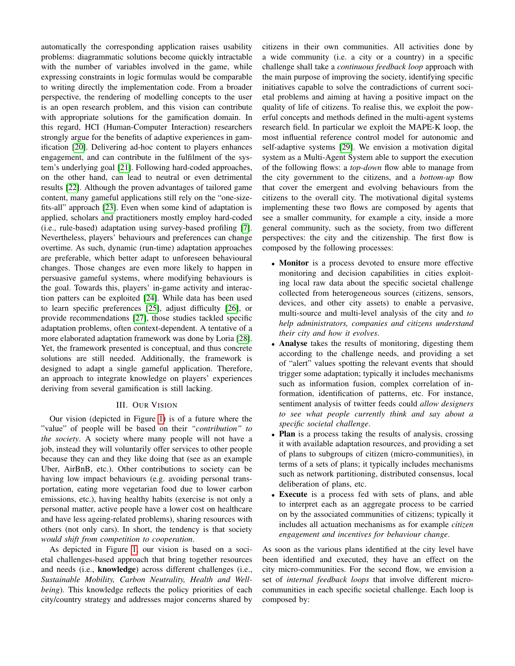automatically the corresponding application raises usability problems: diagrammatic solutions become quickly intractable with the number of variables involved in the game, while expressing constraints in logic formulas would be comparable to writing directly the implementation code. From a broader perspective, the rendering of modelling concepts to the user is an open research problem, and this vision can contribute with appropriate solutions for the gamification domain. In this regard, HCI (Human-Computer Interaction) researchers strongly argue for the benefits of adaptive experiences in gamification [\[20\]](#page-6-7). Delivering ad-hoc content to players enhances engagement, and can contribute in the fulfilment of the system's underlying goal [\[21\]](#page-6-8). Following hard-coded approaches, on the other hand, can lead to neutral or even detrimental results [\[22\]](#page-6-9). Although the proven advantages of tailored game content, many gameful applications still rely on the "one-sizefits-all" approach [\[23\]](#page-6-10). Even when some kind of adaptation is applied, scholars and practitioners mostly employ hard-coded (i.e., rule-based) adaptation using survey-based profiling [\[7\]](#page-5-5). Nevertheless, players' behaviours and preferences can change overtime. As such, dynamic (run-time) adaptation approaches are preferable, which better adapt to unforeseen behavioural changes. Those changes are even more likely to happen in persuasive gameful systems, where modifying behaviours is the goal. Towards this, players' in-game activity and interaction patters can be exploited [\[24\]](#page-6-11). While data has been used to learn specific preferences [\[25\]](#page-6-12), adjust difficulty [\[26\]](#page-6-13), or provide recommendations [\[27\]](#page-6-14), those studies tackled specific adaptation problems, often context-dependent. A tentative of a more elaborated adaptation framework was done by Loria [\[28\]](#page-6-15). Yet, the framework presented is conceptual, and thus concrete solutions are still needed. Additionally, the framework is designed to adapt a single gameful application. Therefore, an approach to integrate knowledge on players' experiences deriving from several gamification is still lacking.

#### III. OUR VISION

Our vision (depicted in Figure [1\)](#page-3-0) is of a future where the "value" of people will be based on their *"contribution" to the society*. A society where many people will not have a job, instead they will voluntarily offer services to other people because they can and they like doing that (see as an example Uber, AirBnB, etc.). Other contributions to society can be having low impact behaviours (e.g. avoiding personal transportation, eating more vegetarian food due to lower carbon emissions, etc.), having healthy habits (exercise is not only a personal matter, active people have a lower cost on healthcare and have less ageing-related problems), sharing resources with others (not only cars). In short, the tendency is that society *would shift from competition to cooperation*.

As depicted in Figure [1,](#page-3-0) our vision is based on a societal challenges-based approach that bring together resources and needs (i.e., knowledge) across different challenges (i.e., *Sustainable Mobility, Carbon Neutrality, Health and Wellbeing*). This knowledge reflects the policy priorities of each city/country strategy and addresses major concerns shared by citizens in their own communities. All activities done by a wide community (i.e. a city or a country) in a specific challenge shall take a *continuous feedback loop* approach with the main purpose of improving the society, identifying specific initiatives capable to solve the contradictions of current societal problems and aiming at having a positive impact on the quality of life of citizens. To realise this, we exploit the powerful concepts and methods defined in the multi-agent systems research field. In particular we exploit the MAPE-K loop, the most influential reference control model for autonomic and self-adaptive systems [\[29\]](#page-6-16). We envision a motivation digital system as a Multi-Agent System able to support the execution of the following flows: a *top-down* flow able to manage from the city government to the citizens, and a *bottom-up* flow that cover the emergent and evolving behaviours from the citizens to the overall city. The motivational digital systems implementing these two flows are composed by agents that see a smaller community, for example a city, inside a more general community, such as the society, from two different perspectives: the city and the citizenship. The first flow is composed by the following processes:

- Monitor is a process devoted to ensure more effective monitoring and decision capabilities in cities exploiting local raw data about the specific societal challenge collected from heterogeneous sources (citizens, sensors, devices, and other city assets) to enable a pervasive, multi-source and multi-level analysis of the city and *to help administrators, companies and citizens understand their city and how it evolves*.
- Analyse takes the results of monitoring, digesting them according to the challenge needs, and providing a set of "alert" values spotting the relevant events that should trigger some adaptation; typically it includes mechanisms such as information fusion, complex correlation of information, identification of patterns, etc. For instance, sentiment analysis of twitter feeds could *allow designers to see what people currently think and say about a specific societal challenge*.
- Plan is a process taking the results of analysis, crossing it with available adaptation resources, and providing a set of plans to subgroups of citizen (micro-communities), in terms of a sets of plans; it typically includes mechanisms such as network partitioning, distributed consensus, local deliberation of plans, etc.
- Execute is a process fed with sets of plans, and able to interpret each as an aggregate process to be carried on by the associated communities of citizens; typically it includes all actuation mechanisms as for example *citizen engagement and incentives for behaviour change*.

As soon as the various plans identified at the city level have been identified and executed, they have an effect on the city micro-communities. For the second flow, we envision a set of *internal feedback loops* that involve different microcommunities in each specific societal challenge. Each loop is composed by: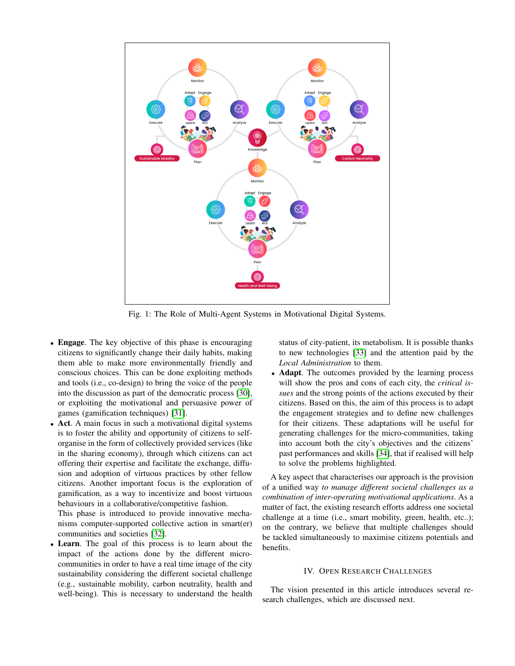<span id="page-3-0"></span>

Fig. 1: The Role of Multi-Agent Systems in Motivational Digital Systems.

- Engage. The key objective of this phase is encouraging citizens to significantly change their daily habits, making them able to make more environmentally friendly and conscious choices. This can be done exploiting methods and tools (i.e., co-design) to bring the voice of the people into the discussion as part of the democratic process [\[30\]](#page-6-17), or exploiting the motivational and persuasive power of games (gamification techniques) [\[31\]](#page-6-18).
- Act. A main focus in such a motivational digital systems is to foster the ability and opportunity of citizens to selforganise in the form of collectively provided services (like in the sharing economy), through which citizens can act offering their expertise and facilitate the exchange, diffusion and adoption of virtuous practices by other fellow citizens. Another important focus is the exploration of gamification, as a way to incentivize and boost virtuous behaviours in a collaborative/competitive fashion.

This phase is introduced to provide innovative mechanisms computer-supported collective action in smart(er) communities and societies [\[32\]](#page-6-19).

• Learn. The goal of this process is to learn about the impact of the actions done by the different microcommunities in order to have a real time image of the city sustainability considering the different societal challenge (e.g., sustainable mobility, carbon neutrality, health and well-being). This is necessary to understand the health

status of city-patient, its metabolism. It is possible thanks to new technologies [\[33\]](#page-6-20) and the attention paid by the *Local Administration* to them.

• Adapt. The outcomes provided by the learning process will show the pros and cons of each city, the *critical issues* and the strong points of the actions executed by their citizens. Based on this, the aim of this process is to adapt the engagement strategies and to define new challenges for their citizens. These adaptations will be useful for generating challenges for the micro-communities, taking into account both the city's objectives and the citizens' past performances and skills [\[34\]](#page-6-21), that if realised will help to solve the problems highlighted.

A key aspect that characterises our approach is the provision of a unified way *to manage different societal challenges as a combination of inter-operating motivational applications*. As a matter of fact, the existing research efforts address one societal challenge at a time (i.e., smart mobility, green, health, etc..); on the contrary, we believe that multiple challenges should be tackled simultaneously to maximise citizens potentials and benefits.

#### IV. OPEN RESEARCH CHALLENGES

The vision presented in this article introduces several research challenges, which are discussed next.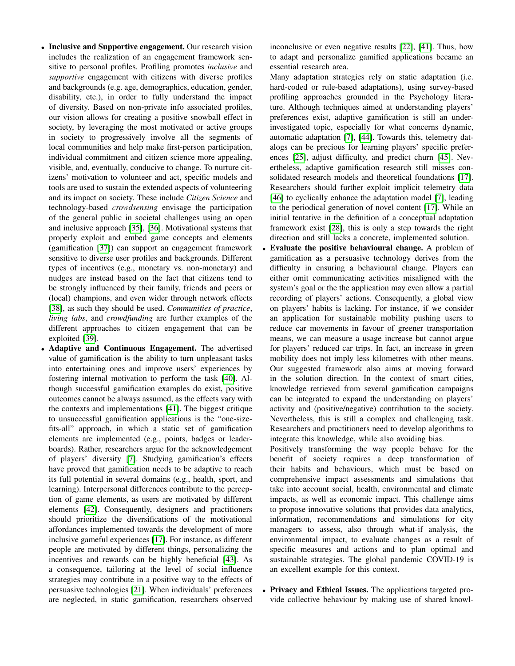- Inclusive and Supportive engagement. Our research vision includes the realization of an engagement framework sensitive to personal profiles. Profiling promotes *inclusive* and *supportive* engagement with citizens with diverse profiles and backgrounds (e.g. age, demographics, education, gender, disability, etc.), in order to fully understand the impact of diversity. Based on non-private info associated profiles, our vision allows for creating a positive snowball effect in society, by leveraging the most motivated or active groups in society to progressively involve all the segments of local communities and help make first-person participation, individual commitment and citizen science more appealing, visible, and, eventually, conducive to change. To nurture citizens' motivation to volunteer and act, specific models and tools are used to sustain the extended aspects of volunteering and its impact on society. These include *Citizen Science* and technology-based *crowdsensing* envisage the participation of the general public in societal challenges using an open and inclusive approach [\[35\]](#page-6-22), [\[36\]](#page-6-23). Motivational systems that properly exploit and embed game concepts and elements (gamification [\[37\]](#page-6-24)) can support an engagement framework sensitive to diverse user profiles and backgrounds. Different types of incentives (e.g., monetary vs. non-monetary) and nudges are instead based on the fact that citizens tend to be strongly influenced by their family, friends and peers or (local) champions, and even wider through network effects [\[38\]](#page-6-25), as such they should be used. *Communities of practice*, *living labs*, and *crowdfunding* are further examples of the different approaches to citizen engagement that can be exploited [\[39\]](#page-6-26).
- Adaptive and Continuous Engagement. The advertised value of gamification is the ability to turn unpleasant tasks into entertaining ones and improve users' experiences by fostering internal motivation to perform the task [\[40\]](#page-6-27). Although successful gamification examples do exist, positive outcomes cannot be always assumed, as the effects vary with the contexts and implementations [\[41\]](#page-6-28). The biggest critique to unsuccessful gamification applications is the "one-sizefits-all" approach, in which a static set of gamification elements are implemented (e.g., points, badges or leaderboards). Rather, researchers argue for the acknowledgement of players' diversity [\[7\]](#page-5-5). Studying gamification's effects have proved that gamification needs to be adaptive to reach its full potential in several domains (e.g., health, sport, and learning). Interpersonal differences contribute to the perception of game elements, as users are motivated by different elements [\[42\]](#page-6-29). Consequently, designers and practitioners should prioritize the diversifications of the motivational affordances implemented towards the development of more inclusive gameful experiences [\[17\]](#page-6-4). For instance, as different people are motivated by different things, personalizing the incentives and rewards can be highly beneficial [\[43\]](#page-6-30). As a consequence, tailoring at the level of social influence strategies may contribute in a positive way to the effects of persuasive technologies [\[21\]](#page-6-8). When individuals' preferences are neglected, in static gamification, researchers observed

inconclusive or even negative results [\[22\]](#page-6-9), [\[41\]](#page-6-28). Thus, how to adapt and personalize gamified applications became an essential research area.

Many adaptation strategies rely on static adaptation (i.e. hard-coded or rule-based adaptations), using survey-based profiling approaches grounded in the Psychology literature. Although techniques aimed at understanding players' preferences exist, adaptive gamification is still an underinvestigated topic, especially for what concerns dynamic, automatic adaptation [\[7\]](#page-5-5), [\[44\]](#page-6-31). Towards this, telemetry datalogs can be precious for learning players' specific preferences [\[25\]](#page-6-12), adjust difficulty, and predict churn [\[45\]](#page-6-32). Nevertheless, adaptive gamification research still misses consolidated research models and theoretical foundations [\[17\]](#page-6-4). Researchers should further exploit implicit telemetry data [\[46\]](#page-6-33) to cyclically enhance the adaptation model [\[7\]](#page-5-5), leading to the periodical generation of novel content [\[17\]](#page-6-4). While an initial tentative in the definition of a conceptual adaptation framework exist [\[28\]](#page-6-15), this is only a step towards the right direction and still lacks a concrete, implemented solution.

Evaluate the positive behavioural change. A problem of gamification as a persuasive technology derives from the difficulty in ensuring a behavioural change. Players can either omit communicating activities misaligned with the system's goal or the the application may even allow a partial recording of players' actions. Consequently, a global view on players' habits is lacking. For instance, if we consider an application for sustainable mobility pushing users to reduce car movements in favour of greener transportation means, we can measure a usage increase but cannot argue for players' reduced car trips. In fact, an increase in green mobility does not imply less kilometres with other means. Our suggested framework also aims at moving forward in the solution direction. In the context of smart cities, knowledge retrieved from several gamification campaigns can be integrated to expand the understanding on players' activity and (positive/negative) contribution to the society. Nevertheless, this is still a complex and challenging task. Researchers and practitioners need to develop algorithms to integrate this knowledge, while also avoiding bias.

Positively transforming the way people behave for the benefit of society requires a deep transformation of their habits and behaviours, which must be based on comprehensive impact assessments and simulations that take into account social, health, environmental and climate impacts, as well as economic impact. This challenge aims to propose innovative solutions that provides data analytics, information, recommendations and simulations for city managers to assess, also through what-if analysis, the environmental impact, to evaluate changes as a result of specific measures and actions and to plan optimal and sustainable strategies. The global pandemic COVID-19 is an excellent example for this context.

• Privacy and Ethical Issues. The applications targeted provide collective behaviour by making use of shared knowl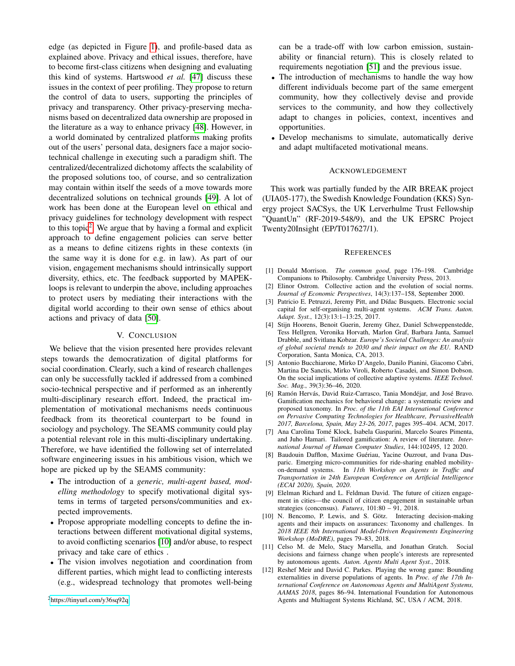edge (as depicted in Figure [1\)](#page-3-0), and profile-based data as explained above. Privacy and ethical issues, therefore, have to become first-class citizens when designing and evaluating this kind of systems. Hartswood *et al.* [\[47\]](#page-6-34) discuss these issues in the context of peer profiling. They propose to return the control of data to users, supporting the principles of privacy and transparency. Other privacy-preserving mechanisms based on decentralized data ownership are proposed in the literature as a way to enhance privacy [\[48\]](#page-6-35). However, in a world dominated by centralized platforms making profits out of the users' personal data, designers face a major sociotechnical challenge in executing such a paradigm shift. The centralized/decentralized dichotomy affects the scalability of the proposed solutions too, of course, and so centralization may contain within itself the seeds of a move towards more decentralized solutions on technical grounds [\[49\]](#page-6-36). A lot of work has been done at the European level on ethical and privacy guidelines for technology development with respect to this topic<sup>[2](#page-5-10)</sup>. We argue that by having a formal and explicit approach to define engagement policies can serve better as a means to define citizens rights in these contexts (in the same way it is done for e.g. in law). As part of our vision, engagement mechanisms should intrinsically support diversity, ethics, etc. The feedback supported by MAPEKloops is relevant to underpin the above, including approaches to protect users by mediating their interactions with the digital world according to their own sense of ethics about actions and privacy of data [\[50\]](#page-6-37).

### V. CONCLUSION

We believe that the vision presented here provides relevant steps towards the democratization of digital platforms for social coordination. Clearly, such a kind of research challenges can only be successfully tackled if addressed from a combined socio-technical perspective and if performed as an inherently multi-disciplinary research effort. Indeed, the practical implementation of motivational mechanisms needs continuous feedback from its theoretical counterpart to be found in sociology and psychology. The SEAMS community could play a potential relevant role in this multi-disciplinary undertaking. Therefore, we have identified the following set of interrelated software engineering issues in his ambitious vision, which we hope are picked up by the SEAMS community:

- The introduction of a *generic, multi-agent based, modelling methodology* to specify motivational digital systems in terms of targeted persons/communities and expected improvements.
- Propose appropriate modelling concepts to define the interactions between different motivational digital systems, to avoid conflicting scenarios [\[10\]](#page-5-8) and/or abuse, to respect privacy and take care of ethics .
- The vision involves negotiation and coordination from different parties, which might lead to conflicting interests (e.g., widespread technology that promotes well-being

<span id="page-5-10"></span><sup>2</sup><https://tinyurl.com/y36sq92q>

can be a trade-off with low carbon emission, sustainability or financial return). This is closely related to requirements negotiation [\[51\]](#page-6-38) and the previous issue.

- The introduction of mechanisms to handle the way how different individuals become part of the same emergent community, how they collectively devise and provide services to the community, and how they collectively adapt to changes in policies, context, incentives and opportunities.
- Develop mechanisms to simulate, automatically derive and adapt multifaceted motivational means.

#### ACKNOWLEDGEMENT

This work was partially funded by the AIR BREAK project (UIA05-177), the Swedish Knowledge Foundation (KKS) Synergy project SACSys, the UK Lerverhulme Trust Fellowship "QuantUn" (RF-2019-548/9), and the UK EPSRC Project Twenty20Insight (EP/T017627/1).

#### **REFERENCES**

- <span id="page-5-0"></span>[1] Donald Morrison. *The common good*, page 176–198. Cambridge Companions to Philosophy. Cambridge University Press, 2013.
- [2] Elinor Ostrom. Collective action and the evolution of social norms. *Journal of Economic Perspectives*, 14(3):137–158, September 2000.
- <span id="page-5-1"></span>[3] Patricio E. Petruzzi, Jeremy Pitt, and Dídac Busquets. Electronic social capital for self-organising multi-agent systems. *ACM Trans. Auton. Adapt. Syst.*, 12(3):13:1–13:25, 2017.
- <span id="page-5-2"></span>[4] Stijn Hoorens, Benoit Guerin, Jeremy Ghez, Daniel Schweppenstedde, Tess Hellgren, Veronika Horvath, Marlon Graf, Barbara Janta, Samuel Drabble, and Svitlana Kobzar. *Europe's Societal Challenges: An analysis of global societal trends to 2030 and their impact on the EU*. RAND Corporation, Santa Monica, CA, 2013.
- <span id="page-5-3"></span>[5] Antonio Bucchiarone, Mirko D'Angelo, Danilo Pianini, Giacomo Cabri, Martina De Sanctis, Mirko Viroli, Roberto Casadei, and Simon Dobson. On the social implications of collective adaptive systems. *IEEE Technol. Soc. Mag.*, 39(3):36–46, 2020.
- <span id="page-5-4"></span>[6] Ramón Hervás, David Ruiz-Carrasco, Tania Mondéjar, and José Bravo. Gamification mechanics for behavioral change: a systematic review and proposed taxonomy. In *Proc. of the 11th EAI International Conference on Pervasive Computing Technologies for Healthcare, PervasiveHealth 2017, Barcelona, Spain, May 23-26, 2017*, pages 395–404. ACM, 2017.
- <span id="page-5-5"></span>[7] Ana Carolina Tomé Klock, Isabela Gasparini, Marcelo Soares Pimenta, and Juho Hamari. Tailored gamification: A review of literature. *International Journal of Human Computer Studies*, 144:102495, 12 2020.
- <span id="page-5-6"></span>[8] Baudouin Dafflon, Maxime Guériau, Yacine Ouzrout, and Ivana Dusparic. Emerging micro-communities for ride-sharing enabled mobilityon-demand systems. In *11th Workshop on Agents in Traffic and Transportation in 24th European Conference on Artificial Intelligence (ECAI 2020), Spain, 2020*.
- <span id="page-5-7"></span>[9] Elelman Richard and L. Feldman David. The future of citizen engagement in cities—the council of citizen engagement in sustainable urban strategies (concensus). *Futures*, 101:80 – 91, 2018.
- <span id="page-5-8"></span>[10] N. Bencomo, P. Lewis, and S. Götz. Interacting decision-making agents and their impacts on assurances: Taxonomy and challenges. In *2018 IEEE 8th International Model-Driven Requirements Engineering Workshop (MoDRE)*, pages 79–83, 2018.
- <span id="page-5-9"></span>[11] Celso M. de Melo, Stacy Marsella, and Jonathan Gratch. Social decisions and fairness change when people's interests are represented by autonomous agents. *Auton. Agents Multi Agent Syst.*, 2018.
- [12] Reshef Meir and David C. Parkes. Playing the wrong game: Bounding externalities in diverse populations of agents. In *Proc. of the 17th International Conference on Autonomous Agents and MultiAgent Systems, AAMAS 2018*, pages 86–94. International Foundation for Autonomous Agents and Multiagent Systems Richland, SC, USA / ACM, 2018.